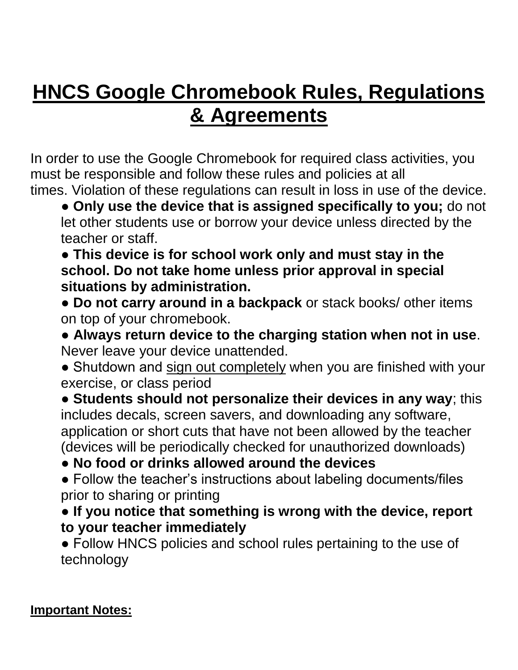# **HNCS Google Chromebook Rules, Regulations & Agreements**

In order to use the Google Chromebook for required class activities, you must be responsible and follow these rules and policies at all times. Violation of these regulations can result in loss in use of the device.

● **Only use the device that is assigned specifically to you;** do not let other students use or borrow your device unless directed by the teacher or staff.

● **This device is for school work only and must stay in the school. Do not take home unless prior approval in special situations by administration.**

● **Do not carry around in a backpack** or stack books/ other items on top of your chromebook.

● **Always return device to the charging station when not in use**. Never leave your device unattended.

• Shutdown and sign out completely when you are finished with your exercise, or class period

● **Students should not personalize their devices in any way**; this includes decals, screen savers, and downloading any software, application or short cuts that have not been allowed by the teacher (devices will be periodically checked for unauthorized downloads)

● **No food or drinks allowed around the devices**

• Follow the teacher's instructions about labeling documents/files prior to sharing or printing

● **If you notice that something is wrong with the device, report to your teacher immediately**

● Follow HNCS policies and school rules pertaining to the use of technology

#### **Important Notes:**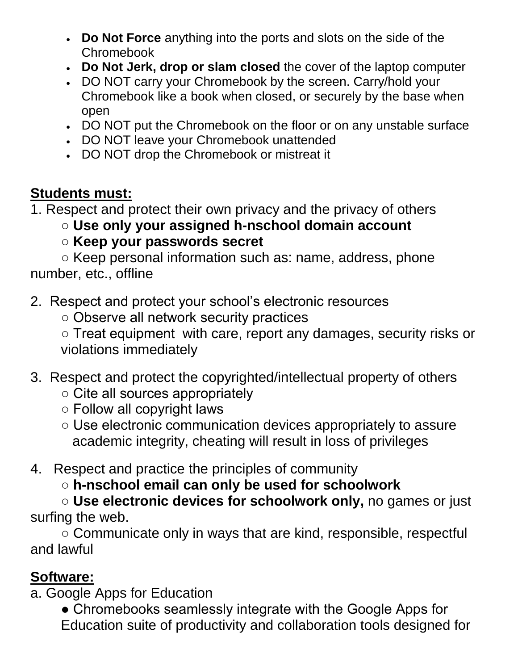- **Do Not Force** anything into the ports and slots on the side of the Chromebook
- **Do Not Jerk, drop or slam closed** the cover of the laptop computer
- DO NOT carry your Chromebook by the screen. Carry/hold your Chromebook like a book when closed, or securely by the base when open
- DO NOT put the Chromebook on the floor or on any unstable surface
- DO NOT leave your Chromebook unattended
- DO NOT drop the Chromebook or mistreat it

### **Students must:**

1. Respect and protect their own privacy and the privacy of others

○ **Use only your assigned h-nschool domain account**

○ **Keep your passwords secret**

○ Keep personal information such as: name, address, phone number, etc., offline

- 2. Respect and protect your school's electronic resources
	- Observe all network security practices

○ Treat equipment with care, report any damages, security risks or violations immediately

- 3. Respect and protect the copyrighted/intellectual property of others
	- Cite all sources appropriately
	- Follow all copyright laws
	- Use electronic communication devices appropriately to assure academic integrity, cheating will result in loss of privileges
- 4. Respect and practice the principles of community
	- **h-nschool email can only be used for schoolwork**

○ **Use electronic devices for schoolwork only,** no games or just surfing the web.

○ Communicate only in ways that are kind, responsible, respectful and lawful

#### **Software:**

a. Google Apps for Education

• Chromebooks seamlessly integrate with the Google Apps for Education suite of productivity and collaboration tools designed for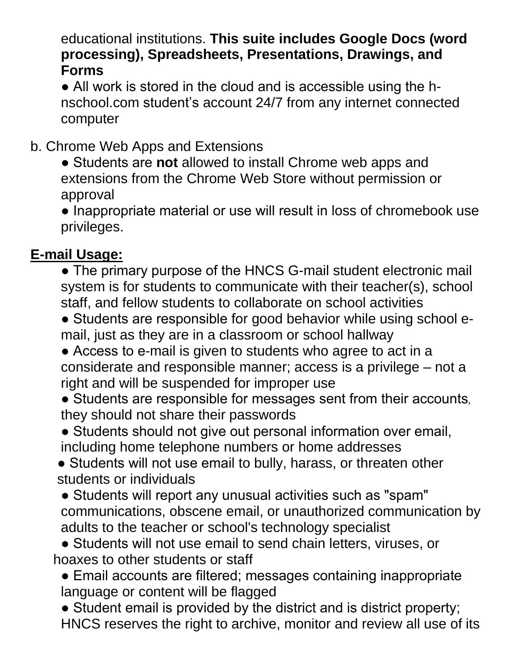educational institutions. **This suite includes Google Docs (word processing), Spreadsheets, Presentations, Drawings, and Forms**

• All work is stored in the cloud and is accessible using the hnschool.com student's account 24/7 from any internet connected computer

b. Chrome Web Apps and Extensions

● Students are **not** allowed to install Chrome web apps and extensions from the Chrome Web Store without permission or approval

● Inappropriate material or use will result in loss of chromebook use privileges.

## **E-mail Usage:**

• The primary purpose of the HNCS G-mail student electronic mail system is for students to communicate with their teacher(s), school staff, and fellow students to collaborate on school activities

• Students are responsible for good behavior while using school email, just as they are in a classroom or school hallway

● Access to e-mail is given to students who agree to act in a considerate and responsible manner; access is a privilege – not a right and will be suspended for improper use

● Students are responsible for messages sent from their accounts, they should not share their passwords

• Students should not give out personal information over email, including home telephone numbers or home addresses

● Students will not use email to bully, harass, or threaten other students or individuals

• Students will report any unusual activities such as "spam" communications, obscene email, or unauthorized communication by adults to the teacher or school's technology specialist

● Students will not use email to send chain letters, viruses, or hoaxes to other students or staff

• Email accounts are filtered; messages containing inappropriate language or content will be flagged

• Student email is provided by the district and is district property; HNCS reserves the right to archive, monitor and review all use of its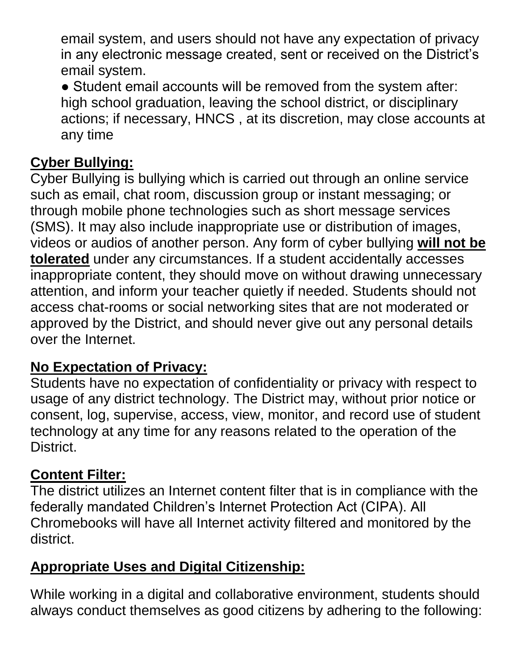email system, and users should not have any expectation of privacy in any electronic message created, sent or received on the District's email system.

● Student email accounts will be removed from the system after: high school graduation, leaving the school district, or disciplinary actions; if necessary, HNCS , at its discretion, may close accounts at any time

#### **Cyber Bullying:**

Cyber Bullying is bullying which is carried out through an online service such as email, chat room, discussion group or instant messaging; or through mobile phone technologies such as short message services (SMS). It may also include inappropriate use or distribution of images, videos or audios of another person. Any form of cyber bullying **will not be tolerated** under any circumstances. If a student accidentally accesses inappropriate content, they should move on without drawing unnecessary attention, and inform your teacher quietly if needed. Students should not access chat-rooms or social networking sites that are not moderated or approved by the District, and should never give out any personal details over the Internet.

#### **No Expectation of Privacy:**

Students have no expectation of confidentiality or privacy with respect to usage of any district technology. The District may, without prior notice or consent, log, supervise, access, view, monitor, and record use of student technology at any time for any reasons related to the operation of the District.

## **Content Filter:**

The district utilizes an Internet content filter that is in compliance with the federally mandated Children's Internet Protection Act (CIPA). All Chromebooks will have all Internet activity filtered and monitored by the district.

## **Appropriate Uses and Digital Citizenship:**

While working in a digital and collaborative environment, students should always conduct themselves as good citizens by adhering to the following: